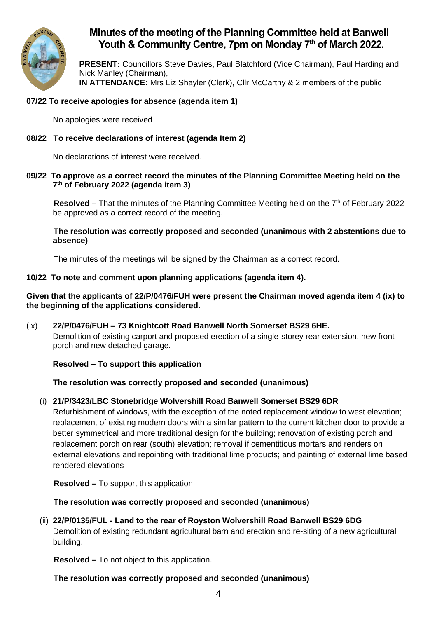

# **Minutes of the meeting of the Planning Committee held at Banwell Youth & Community Centre, 7pm on Monday 7 th of March 2022.**

**PRESENT:** Councillors Steve Davies, Paul Blatchford (Vice Chairman), Paul Harding and Nick Manley (Chairman), **IN ATTENDANCE:** Mrs Liz Shayler (Clerk), Cllr McCarthy & 2 members of the public

# **07/22 To receive apologies for absence (agenda item 1)**

No apologies were received

# **08/22 To receive declarations of interest (agenda Item 2)**

No declarations of interest were received.

#### **09/22 To approve as a correct record the minutes of the Planning Committee Meeting held on the 7 th of February 2022 (agenda item 3)**

Resolved – That the minutes of the Planning Committee Meeting held on the 7<sup>th</sup> of February 2022 be approved as a correct record of the meeting.

**The resolution was correctly proposed and seconded (unanimous with 2 abstentions due to absence)**

The minutes of the meetings will be signed by the Chairman as a correct record.

# **10/22 To note and comment upon planning applications (agenda item 4).**

**Given that the applicants of 22/P/0476/FUH were present the Chairman moved agenda item 4 (ix) to the beginning of the applications considered.**

(ix) **22/P/0476/FUH – 73 Knightcott Road Banwell North Somerset BS29 6HE.** Demolition of existing carport and proposed erection of a single-storey rear extension, new front porch and new detached garage.

# **Resolved – To support this application**

# **The resolution was correctly proposed and seconded (unanimous)**

# (i) **21/P/3423/LBC Stonebridge Wolvershill Road Banwell Somerset BS29 6DR**

Refurbishment of windows, with the exception of the noted replacement window to west elevation; replacement of existing modern doors with a similar pattern to the current kitchen door to provide a better symmetrical and more traditional design for the building; renovation of existing porch and replacement porch on rear (south) elevation; removal if cementitious mortars and renders on external elevations and repointing with traditional lime products; and painting of external lime based rendered elevations

**Resolved –** To support this application.

#### **The resolution was correctly proposed and seconded (unanimous)**

(ii) **22/P/0135/FUL - Land to the rear of Royston Wolvershill Road Banwell BS29 6DG** Demolition of existing redundant agricultural barn and erection and re-siting of a new agricultural building.

**Resolved –** To not object to this application.

#### **The resolution was correctly proposed and seconded (unanimous)**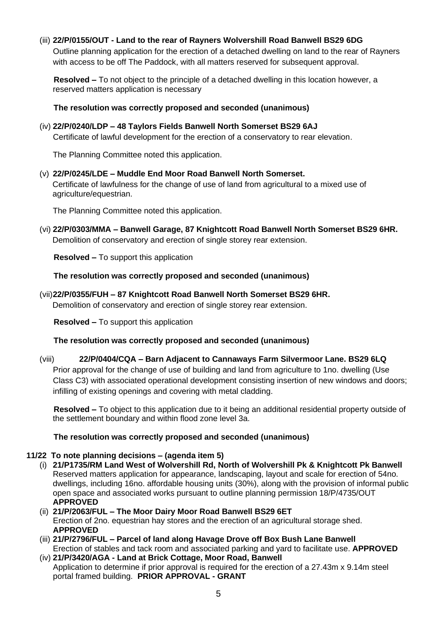(iii) **22/P/0155/OUT - Land to the rear of Rayners Wolvershill Road Banwell BS29 6DG** Outline planning application for the erection of a detached dwelling on land to the rear of Rayners with access to be off The Paddock, with all matters reserved for subsequent approval.

**Resolved –** To not object to the principle of a detached dwelling in this location however, a reserved matters application is necessary

### **The resolution was correctly proposed and seconded (unanimous)**

### (iv) **22/P/0240/LDP – 48 Taylors Fields Banwell North Somerset BS29 6AJ**

Certificate of lawful development for the erection of a conservatory to rear elevation.

The Planning Committee noted this application.

(v) **22/P/0245/LDE – Muddle End Moor Road Banwell North Somerset.**

Certificate of lawfulness for the change of use of land from agricultural to a mixed use of agriculture/equestrian.

The Planning Committee noted this application.

(vi) **22/P/0303/MMA – Banwell Garage, 87 Knightcott Road Banwell North Somerset BS29 6HR.**  Demolition of conservatory and erection of single storey rear extension.

**Resolved –** To support this application

**The resolution was correctly proposed and seconded (unanimous)**

(vii)**22/P/0355/FUH – 87 Knightcott Road Banwell North Somerset BS29 6HR.** 

Demolition of conservatory and erection of single storey rear extension.

**Resolved –** To support this application

#### **The resolution was correctly proposed and seconded (unanimous)**

(viii) **22/P/0404/CQA – Barn Adjacent to Cannaways Farm Silvermoor Lane. BS29 6LQ** Prior approval for the change of use of building and land from agriculture to 1no. dwelling (Use Class C3) with associated operational development consisting insertion of new windows and doors; infilling of existing openings and covering with metal cladding.

**Resolved –** To object to this application due to it being an additional residential property outside of the settlement boundary and within flood zone level 3a.

#### **The resolution was correctly proposed and seconded (unanimous)**

# **11/22 To note planning decisions – (agenda item 5)**

- (i) **21/P1735/RM Land West of Wolvershill Rd, North of Wolvershill Pk & Knightcott Pk Banwell** Reserved matters application for appearance, landscaping, layout and scale for erection of 54no. dwellings, including 16no. affordable housing units (30%), along with the provision of informal public open space and associated works pursuant to outline planning permission 18/P/4735/OUT **APPROVED**
- (ii) **21/P/2063/FUL – The Moor Dairy Moor Road Banwell BS29 6ET**  Erection of 2no. equestrian hay stores and the erection of an agricultural storage shed. **APPROVED**
- (iii) **21/P/2796/FUL – Parcel of land along Havage Drove off Box Bush Lane Banwell** Erection of stables and tack room and associated parking and yard to facilitate use. **APPROVED**
- (iv) **21/P/3420/AGA - Land at Brick Cottage, Moor Road, Banwell** Application to determine if prior approval is required for the erection of a 27.43m x 9.14m steel portal framed building. **PRIOR APPROVAL - GRANT**